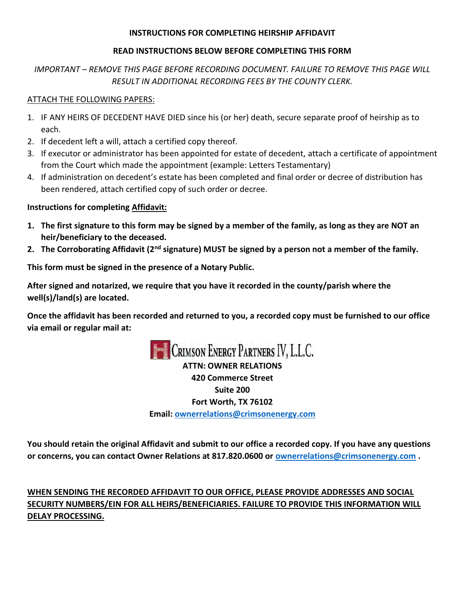## **INSTRUCTIONS FOR COMPLETING HEIRSHIP AFFIDAVIT**

## **READ INSTRUCTIONS BELOW BEFORE COMPLETING THIS FORM**

## *IMPORTANT – REMOVE THIS PAGE BEFORE RECORDING DOCUMENT. FAILURE TO REMOVE THIS PAGE WILL RESULT IN ADDITIONAL RECORDING FEES BY THE COUNTY CLERK.*

## ATTACH THE FOLLOWING PAPERS:

- 1. IF ANY HEIRS OF DECEDENT HAVE DIED since his (or her) death, secure separate proof of heirship as to each.
- 2. If decedent left a will, attach a certified copy thereof.
- 3. If executor or administrator has been appointed for estate of decedent, attach a certificate of appointment from the Court which made the appointment (example: Letters Testamentary)
- 4. If administration on decedent's estate has been completed and final order or decree of distribution has been rendered, attach certified copy of such order or decree.

## **Instructions for completing Affidavit:**

- **1. The first signature to this form may be signed by a member of the family, as long as they are NOT an heir/beneficiary to the deceased.**
- **2. The Corroborating Affidavit (2nd signature) MUST be signed by a person not a member of the family.**

**This form must be signed in the presence of a Notary Public.**

**After signed and notarized, we require that you have it recorded in the county/parish where the well(s)/land(s) are located.**

**Once the affidavit has been recorded and returned to you, a recorded copy must be furnished to our office via email or regular mail at:**



**ATTN: OWNER RELATIONS 420 Commerce Street Suite 200 Fort Worth, TX 76102 Email: [ownerrelations@crimsonenergy.com](mailto:ownerrelations@crimsonenergy.com)**

**You should retain the original Affidavit and submit to our office a recorded copy. If you have any questions or concerns, you can contact Owner Relations at 817.820.0600 or [ownerrelations@crimsonenergy.com](mailto:ownerrelations@crimsonenergy.com) .**

# **WHEN SENDING THE RECORDED AFFIDAVIT TO OUR OFFICE, PLEASE PROVIDE ADDRESSES AND SOCIAL SECURITY NUMBERS/EIN FOR ALL HEIRS/BENEFICIARIES. FAILURE TO PROVIDE THIS INFORMATION WILL DELAY PROCESSING.**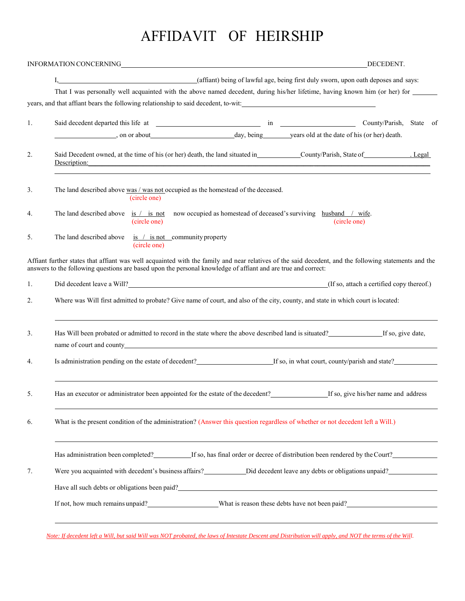# AFFIDAVIT OF HEIRSHIP

|    | INFORMATION CONCERNING<br>DECEDENT.                                                                                                                                                                                                                                    |  |  |  |  |  |  |  |  |  |
|----|------------------------------------------------------------------------------------------------------------------------------------------------------------------------------------------------------------------------------------------------------------------------|--|--|--|--|--|--|--|--|--|
|    | I, (affiant) being of lawful age, being first duly sworn, upon oath deposes and says:                                                                                                                                                                                  |  |  |  |  |  |  |  |  |  |
|    | That I was personally well acquainted with the above named decedent, during his/her lifetime, having known him (or her) for _____                                                                                                                                      |  |  |  |  |  |  |  |  |  |
|    | years, and that affiant bears the following relationship to said decedent, to-wit:                                                                                                                                                                                     |  |  |  |  |  |  |  |  |  |
| 1. |                                                                                                                                                                                                                                                                        |  |  |  |  |  |  |  |  |  |
|    | on or about day, being years old at the date of his (or her) death.                                                                                                                                                                                                    |  |  |  |  |  |  |  |  |  |
| 2. | Description: Description:                                                                                                                                                                                                                                              |  |  |  |  |  |  |  |  |  |
| 3. | The land described above was / was not occupied as the homestead of the deceased.<br>(circle one)                                                                                                                                                                      |  |  |  |  |  |  |  |  |  |
| 4. | The land described above is $/$ is not now occupied as homestead of deceased's surviving husband $/$ wife.<br>(circle one)<br>(circle one)                                                                                                                             |  |  |  |  |  |  |  |  |  |
| 5. | The land described above $\frac{1}{1}$ is not community property<br>(circle one)                                                                                                                                                                                       |  |  |  |  |  |  |  |  |  |
|    | Affiant further states that affiant was well acquainted with the family and near relatives of the said decedent, and the following statements and the<br>answers to the following questions are based upon the personal knowledge of affiant and are true and correct: |  |  |  |  |  |  |  |  |  |
| 1. | Did decedent leave a Will? (If so, attach a certified copy thereof.)                                                                                                                                                                                                   |  |  |  |  |  |  |  |  |  |
| 2. | Where was Will first admitted to probate? Give name of court, and also of the city, county, and state in which court is located:                                                                                                                                       |  |  |  |  |  |  |  |  |  |
| 3. | Has Will been probated or admitted to record in the state where the above described land is situated?<br>If so, give date,                                                                                                                                             |  |  |  |  |  |  |  |  |  |
| 4. | Is administration pending on the estate of decedent?<br>If so, in what court, county/parish and state?<br>If so, in what court, county/parish and state?                                                                                                               |  |  |  |  |  |  |  |  |  |
| 5. | Has an executor or administrator been appointed for the estate of the decedent?<br>If so, give his/her name and address                                                                                                                                                |  |  |  |  |  |  |  |  |  |
| 6. | What is the present condition of the administration? (Answer this question regardless of whether or not decedent left a Will.)                                                                                                                                         |  |  |  |  |  |  |  |  |  |
|    | Has administration been completed? If so, has final order or decree of distribution been rendered by the Court?                                                                                                                                                        |  |  |  |  |  |  |  |  |  |
| 7. | Were you acquainted with decedent's business affairs?<br>Did decedent leave any debts or obligations unpaid?                                                                                                                                                           |  |  |  |  |  |  |  |  |  |
|    | Have all such debts or obligations been paid?<br><u>Example 2016</u>                                                                                                                                                                                                   |  |  |  |  |  |  |  |  |  |
|    | If not, how much remains unpaid? What is reason these debts have not been paid?                                                                                                                                                                                        |  |  |  |  |  |  |  |  |  |
|    |                                                                                                                                                                                                                                                                        |  |  |  |  |  |  |  |  |  |

*Note: If decedent left a Will, but said Will was NOT probated, the laws of Intestate Descent and Distribution will apply, and NOT the terms of the Will.*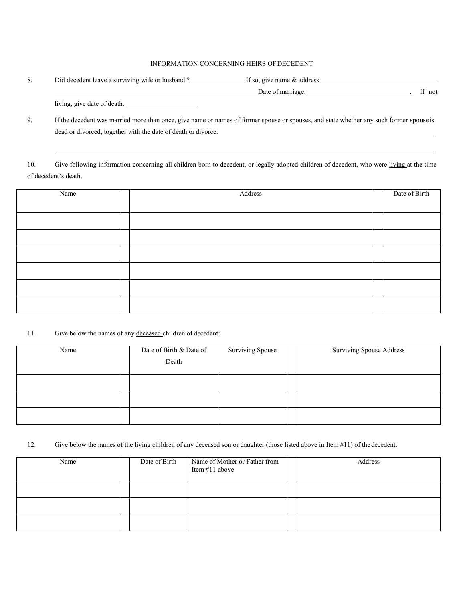#### INFORMATION CONCERNING HEIRS OFDECEDENT

| 8. | Did decedent leave a surviving wife or husband? | If so, give name $&$ address |        |
|----|-------------------------------------------------|------------------------------|--------|
|    |                                                 | Date of marriage:            | If not |
|    | living, give date of death.                     |                              |        |

9. If the decedent was married more than once, give name or names of former spouse or spouses, and state whether any such former spouse is dead or divorced, together with the date of death or divorce:

10. Give following information concerning all children born to decedent, or legally adopted children of decedent, who were living at the time of decedent's death.

| Name | Address | Date of Birth |
|------|---------|---------------|
|      |         |               |
|      |         |               |
|      |         |               |
|      |         |               |
|      |         |               |
|      |         |               |
|      |         |               |

#### 11. Give below the names of any deceased children of decedent:

| Name | Date of Birth & Date of | <b>Surviving Spouse</b> | <b>Surviving Spouse Address</b> |
|------|-------------------------|-------------------------|---------------------------------|
|      | Death                   |                         |                                 |
|      |                         |                         |                                 |
|      |                         |                         |                                 |
|      |                         |                         |                                 |

#### 12. Give below the names of the living children of any deceased son or daughter (those listed above in Item #11) of the decedent:

| Name | Date of Birth<br>Name of Mother or Father from<br>Item #11 above |  | Address |
|------|------------------------------------------------------------------|--|---------|
|      |                                                                  |  |         |
|      |                                                                  |  |         |
|      |                                                                  |  |         |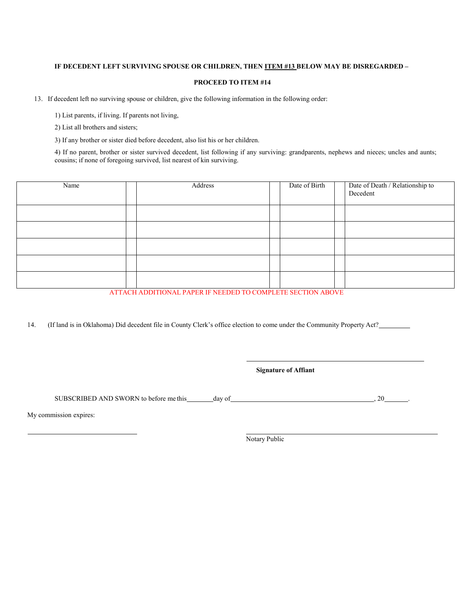#### **IF DECEDENT LEFT SURVIVING SPOUSE OR CHILDREN, THEN ITEM #13 BELOW MAY BE DISREGARDED –**

#### **PROCEED TO ITEM #14**

13. If decedent left no surviving spouse or children, give the following information in the following order:

1) List parents, if living. If parents not living,

2) List all brothers and sisters;

3) If any brother or sister died before decedent, also list his or her children.

4) If no parent, brother or sister survived decedent, list following if any surviving: grandparents, nephews and nieces; uncles and aunts; cousins; if none of foregoing survived, list nearest of kin surviving.

| Name | Address | Date of Birth | Date of Death / Relationship to<br>Decedent |
|------|---------|---------------|---------------------------------------------|
|      |         |               |                                             |
|      |         |               |                                             |
|      |         |               |                                             |
|      |         |               |                                             |
|      |         |               |                                             |

ATTACH ADDITIONAL PAPER IF NEEDED TO COMPLETE SECTION ABOVE

14. (If land is in Oklahoma) Did decedent file in County Clerk's office election to come under the Community Property Act?

**Signature of Affiant**

SUBSCRIBED AND SWORN to before me this day of  $\frac{1}{20}$ , 20

My commission expires:

Notary Public